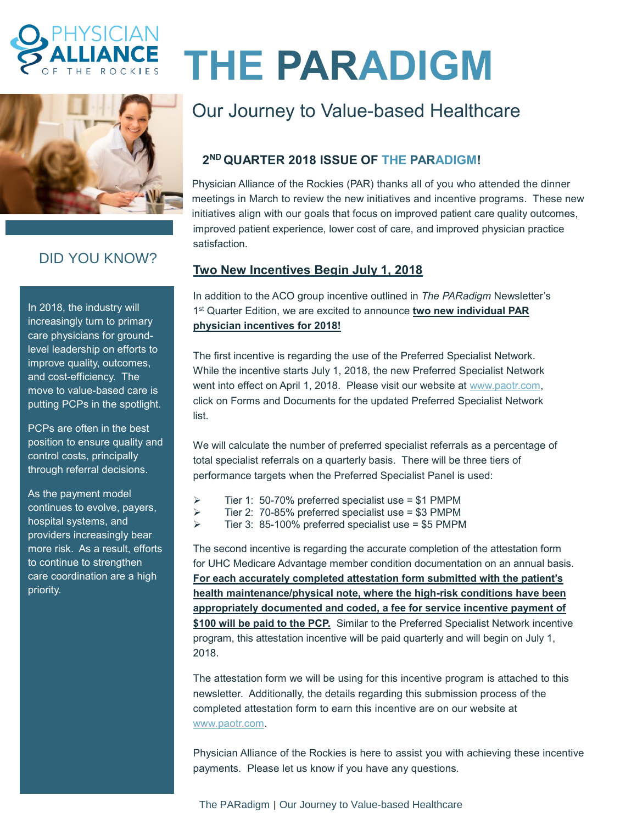



# DID YOU KNOW?

In 2018, the industry will increasingly turn to primary care physicians for groundlevel leadership on efforts to improve quality, outcomes, and cost-efficiency. The move to value-based care is putting PCPs in the spotlight.

PCPs are often in the best position to ensure quality and control costs, principally through referral decisions.

As the payment model continues to evolve, payers, hospital systems, and providers increasingly bear more risk. As a result, efforts to continue to strengthen care coordination are a high priority.

# **THE PARADIGM**

# Our Journey to Value-based Healthcare

## **2 ND QUARTER 2018 ISSUE OF THE PARADIGM!**

Physician Alliance of the Rockies (PAR) thanks all of you who attended the dinner meetings in March to review the new initiatives and incentive programs. These new initiatives align with our goals that focus on improved patient care quality outcomes, improved patient experience, lower cost of care, and improved physician practice satisfaction.

### **Two New Incentives Begin July 1, 2018**

In addition to the ACO group incentive outlined in *The PARadigm* Newsletter's 1 st Quarter Edition, we are excited to announce **two new individual PAR physician incentives for 2018!**

The first incentive is regarding the use of the Preferred Specialist Network. While the incentive starts July 1, 2018, the new Preferred Specialist Network went into effect on April 1, 2018. Please visit our website at [www.paotr.com,](http://www.paotr.com/) click on Forms and Documents for the updated Preferred Specialist Network list.

We will calculate the number of preferred specialist referrals as a percentage of total specialist referrals on a quarterly basis. There will be three tiers of performance targets when the Preferred Specialist Panel is used:

- $\triangleright$  Tier 1: 50-70% preferred specialist use = \$1 PMPM
- $\triangleright$  Tier 2: 70-85% preferred specialist use = \$3 PMPM
- $\triangleright$  Tier 3: 85-100% preferred specialist use = \$5 PMPM

The second incentive is regarding the accurate completion of the attestation form for UHC Medicare Advantage member condition documentation on an annual basis. **For each accurately completed attestation form submitted with the patient's health maintenance/physical note, where the high-risk conditions have been appropriately documented and coded, a fee for service incentive payment of \$100 will be paid to the PCP.** Similar to the Preferred Specialist Network incentive program, this attestation incentive will be paid quarterly and will begin on July 1, 2018.

The attestation form we will be using for this incentive program is attached to this newsletter. Additionally, the details regarding this submission process of the completed attestation form to earn this incentive are on our website at [www.paotr.com.](http://www.paotr.com/)

Physician Alliance of the Rockies is here to assist you with achieving these incentive payments. Please let us know if you have any questions.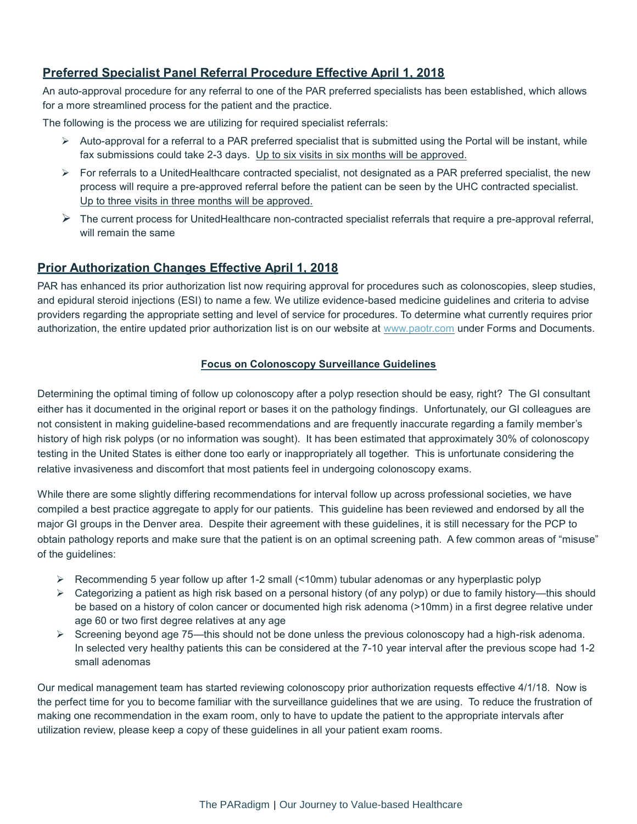#### **Preferred Specialist Panel Referral Procedure Effective April 1, 2018**

An auto-approval procedure for any referral to one of the PAR preferred specialists has been established, which allows for a more streamlined process for the patient and the practice.

The following is the process we are utilizing for required specialist referrals:

- $\triangleright$  Auto-approval for a referral to a PAR preferred specialist that is submitted using the Portal will be instant, while fax submissions could take 2-3 days. Up to six visits in six months will be approved.
- $\triangleright$  For referrals to a UnitedHealthcare contracted specialist, not designated as a PAR preferred specialist, the new process will require a pre-approved referral before the patient can be seen by the UHC contracted specialist. Up to three visits in three months will be approved.
- $\triangleright$  The current process for UnitedHealthcare non-contracted specialist referrals that require a pre-approval referral, will remain the same

#### **Prior Authorization Changes Effective April 1, 2018**

PAR has enhanced its prior authorization list now requiring approval for procedures such as colonoscopies, sleep studies, and epidural steroid injections (ESI) to name a few. We utilize evidence-based medicine guidelines and criteria to advise providers regarding the appropriate setting and level of service for procedures. To determine what currently requires prior authorization, the entire updated prior authorization list is on our website at [www.paotr.com](http://www.paotr.com/) under Forms and Documents.

#### **Focus on Colonoscopy Surveillance Guidelines**

Determining the optimal timing of follow up colonoscopy after a polyp resection should be easy, right? The GI consultant either has it documented in the original report or bases it on the pathology findings. Unfortunately, our GI colleagues are not consistent in making guideline-based recommendations and are frequently inaccurate regarding a family member's history of high risk polyps (or no information was sought). It has been estimated that approximately 30% of colonoscopy testing in the United States is either done too early or inappropriately all together. This is unfortunate considering the relative invasiveness and discomfort that most patients feel in undergoing colonoscopy exams.

While there are some slightly differing recommendations for interval follow up across professional societies, we have compiled a best practice aggregate to apply for our patients. This guideline has been reviewed and endorsed by all the major GI groups in the Denver area. Despite their agreement with these guidelines, it is still necessary for the PCP to obtain pathology reports and make sure that the patient is on an optimal screening path. A few common areas of "misuse" of the guidelines:

- $\triangleright$  Recommending 5 year follow up after 1-2 small (<10mm) tubular adenomas or any hyperplastic polyp
- $\triangleright$  Categorizing a patient as high risk based on a personal history (of any polyp) or due to family history—this should be based on a history of colon cancer or documented high risk adenoma (>10mm) in a first degree relative under age 60 or two first degree relatives at any age
- ➢ Screening beyond age 75—this should not be done unless the previous colonoscopy had a high-risk adenoma. In selected very healthy patients this can be considered at the 7-10 year interval after the previous scope had 1-2 small adenomas

Our medical management team has started reviewing colonoscopy prior authorization requests effective 4/1/18. Now is the perfect time for you to become familiar with the surveillance guidelines that we are using. To reduce the frustration of making one recommendation in the exam room, only to have to update the patient to the appropriate intervals after utilization review, please keep a copy of these guidelines in all your patient exam rooms.